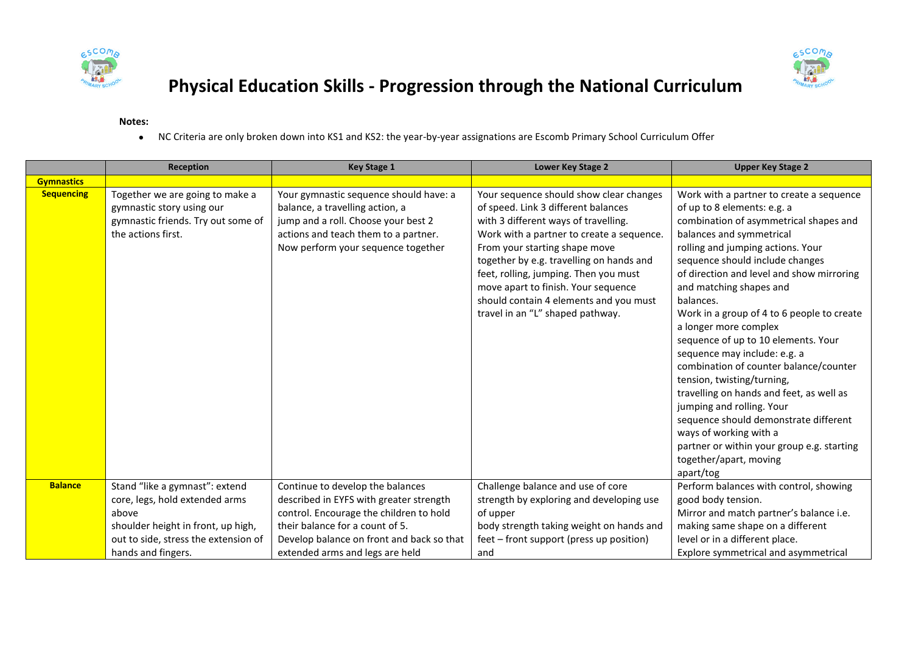



## **Physical Education Skills - Progression through the National Curriculum**

## **Notes:**

NC Criteria are only broken down into KS1 and KS2: the year-by-year assignations are Escomb Primary School Curriculum Offer

|                   | Reception                                                                                                                | <b>Key Stage 1</b>                                                                                                                                                                             | Lower Key Stage 2                                                                                                                                                                                                                                                                                                                                                                                              | <b>Upper Key Stage 2</b>                                                                                                                                                                                                                                                                                                                                                                                                                                                                                                                                                                                                                                                                                                                                          |
|-------------------|--------------------------------------------------------------------------------------------------------------------------|------------------------------------------------------------------------------------------------------------------------------------------------------------------------------------------------|----------------------------------------------------------------------------------------------------------------------------------------------------------------------------------------------------------------------------------------------------------------------------------------------------------------------------------------------------------------------------------------------------------------|-------------------------------------------------------------------------------------------------------------------------------------------------------------------------------------------------------------------------------------------------------------------------------------------------------------------------------------------------------------------------------------------------------------------------------------------------------------------------------------------------------------------------------------------------------------------------------------------------------------------------------------------------------------------------------------------------------------------------------------------------------------------|
| <b>Gymnastics</b> |                                                                                                                          |                                                                                                                                                                                                |                                                                                                                                                                                                                                                                                                                                                                                                                |                                                                                                                                                                                                                                                                                                                                                                                                                                                                                                                                                                                                                                                                                                                                                                   |
| <b>Sequencing</b> | Together we are going to make a<br>gymnastic story using our<br>gymnastic friends. Try out some of<br>the actions first. | Your gymnastic sequence should have: a<br>balance, a travelling action, a<br>jump and a roll. Choose your best 2<br>actions and teach them to a partner.<br>Now perform your sequence together | Your sequence should show clear changes<br>of speed. Link 3 different balances<br>with 3 different ways of travelling.<br>Work with a partner to create a sequence.<br>From your starting shape move<br>together by e.g. travelling on hands and<br>feet, rolling, jumping. Then you must<br>move apart to finish. Your sequence<br>should contain 4 elements and you must<br>travel in an "L" shaped pathway. | Work with a partner to create a sequence<br>of up to 8 elements: e.g. a<br>combination of asymmetrical shapes and<br>balances and symmetrical<br>rolling and jumping actions. Your<br>sequence should include changes<br>of direction and level and show mirroring<br>and matching shapes and<br>balances.<br>Work in a group of 4 to 6 people to create<br>a longer more complex<br>sequence of up to 10 elements. Your<br>sequence may include: e.g. a<br>combination of counter balance/counter<br>tension, twisting/turning,<br>travelling on hands and feet, as well as<br>jumping and rolling. Your<br>sequence should demonstrate different<br>ways of working with a<br>partner or within your group e.g. starting<br>together/apart, moving<br>apart/tog |
| <b>Balance</b>    | Stand "like a gymnast": extend<br>core, legs, hold extended arms                                                         | Continue to develop the balances<br>described in EYFS with greater strength                                                                                                                    | Challenge balance and use of core<br>strength by exploring and developing use                                                                                                                                                                                                                                                                                                                                  | Perform balances with control, showing<br>good body tension.                                                                                                                                                                                                                                                                                                                                                                                                                                                                                                                                                                                                                                                                                                      |
|                   | above                                                                                                                    | control. Encourage the children to hold                                                                                                                                                        | of upper                                                                                                                                                                                                                                                                                                                                                                                                       | Mirror and match partner's balance i.e.                                                                                                                                                                                                                                                                                                                                                                                                                                                                                                                                                                                                                                                                                                                           |
|                   | shoulder height in front, up high,                                                                                       | their balance for a count of 5.                                                                                                                                                                | body strength taking weight on hands and                                                                                                                                                                                                                                                                                                                                                                       | making same shape on a different                                                                                                                                                                                                                                                                                                                                                                                                                                                                                                                                                                                                                                                                                                                                  |
|                   | out to side, stress the extension of                                                                                     | Develop balance on front and back so that                                                                                                                                                      | feet – front support (press up position)                                                                                                                                                                                                                                                                                                                                                                       | level or in a different place.                                                                                                                                                                                                                                                                                                                                                                                                                                                                                                                                                                                                                                                                                                                                    |
|                   | hands and fingers.                                                                                                       | extended arms and legs are held                                                                                                                                                                | and                                                                                                                                                                                                                                                                                                                                                                                                            | Explore symmetrical and asymmetrical                                                                                                                                                                                                                                                                                                                                                                                                                                                                                                                                                                                                                                                                                                                              |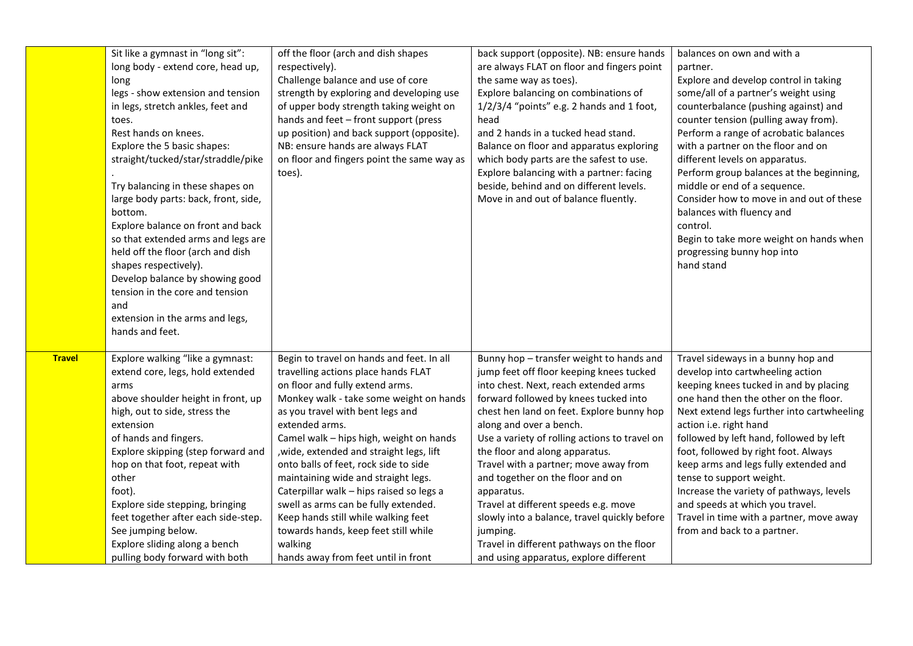|               | Sit like a gymnast in "long sit":<br>long body - extend core, head up,<br>long<br>legs - show extension and tension<br>in legs, stretch ankles, feet and<br>toes.<br>Rest hands on knees.<br>Explore the 5 basic shapes:<br>straight/tucked/star/straddle/pike<br>Try balancing in these shapes on<br>large body parts: back, front, side,<br>bottom.<br>Explore balance on front and back<br>so that extended arms and legs are<br>held off the floor (arch and dish<br>shapes respectively).<br>Develop balance by showing good<br>tension in the core and tension<br>and<br>extension in the arms and legs,<br>hands and feet. | off the floor (arch and dish shapes<br>respectively).<br>Challenge balance and use of core<br>strength by exploring and developing use<br>of upper body strength taking weight on<br>hands and feet - front support (press<br>up position) and back support (opposite).<br>NB: ensure hands are always FLAT<br>on floor and fingers point the same way as<br>toes).                                                                                                                                                                                                                                              | back support (opposite). NB: ensure hands<br>are always FLAT on floor and fingers point<br>the same way as toes).<br>Explore balancing on combinations of<br>$1/2/3/4$ "points" e.g. 2 hands and 1 foot,<br>head<br>and 2 hands in a tucked head stand.<br>Balance on floor and apparatus exploring<br>which body parts are the safest to use.<br>Explore balancing with a partner: facing<br>beside, behind and on different levels.<br>Move in and out of balance fluently.                                                                                                                                           | balances on own and with a<br>partner.<br>Explore and develop control in taking<br>some/all of a partner's weight using<br>counterbalance (pushing against) and<br>counter tension (pulling away from).<br>Perform a range of acrobatic balances<br>with a partner on the floor and on<br>different levels on apparatus.<br>Perform group balances at the beginning,<br>middle or end of a sequence.<br>Consider how to move in and out of these<br>balances with fluency and<br>control.<br>Begin to take more weight on hands when<br>progressing bunny hop into<br>hand stand |
|---------------|-----------------------------------------------------------------------------------------------------------------------------------------------------------------------------------------------------------------------------------------------------------------------------------------------------------------------------------------------------------------------------------------------------------------------------------------------------------------------------------------------------------------------------------------------------------------------------------------------------------------------------------|------------------------------------------------------------------------------------------------------------------------------------------------------------------------------------------------------------------------------------------------------------------------------------------------------------------------------------------------------------------------------------------------------------------------------------------------------------------------------------------------------------------------------------------------------------------------------------------------------------------|-------------------------------------------------------------------------------------------------------------------------------------------------------------------------------------------------------------------------------------------------------------------------------------------------------------------------------------------------------------------------------------------------------------------------------------------------------------------------------------------------------------------------------------------------------------------------------------------------------------------------|----------------------------------------------------------------------------------------------------------------------------------------------------------------------------------------------------------------------------------------------------------------------------------------------------------------------------------------------------------------------------------------------------------------------------------------------------------------------------------------------------------------------------------------------------------------------------------|
| <b>Travel</b> | Explore walking "like a gymnast:<br>extend core, legs, hold extended<br>arms<br>above shoulder height in front, up<br>high, out to side, stress the<br>extension<br>of hands and fingers.<br>Explore skipping (step forward and<br>hop on that foot, repeat with<br>other<br>foot).<br>Explore side stepping, bringing<br>feet together after each side-step.<br>See jumping below.<br>Explore sliding along a bench<br>pulling body forward with both                                                                                                                                                                            | Begin to travel on hands and feet. In all<br>travelling actions place hands FLAT<br>on floor and fully extend arms.<br>Monkey walk - take some weight on hands<br>as you travel with bent legs and<br>extended arms.<br>Camel walk - hips high, weight on hands<br>, wide, extended and straight legs, lift<br>onto balls of feet, rock side to side<br>maintaining wide and straight legs.<br>Caterpillar walk - hips raised so legs a<br>swell as arms can be fully extended.<br>Keep hands still while walking feet<br>towards hands, keep feet still while<br>walking<br>hands away from feet until in front | Bunny hop - transfer weight to hands and<br>jump feet off floor keeping knees tucked<br>into chest. Next, reach extended arms<br>forward followed by knees tucked into<br>chest hen land on feet. Explore bunny hop<br>along and over a bench.<br>Use a variety of rolling actions to travel on<br>the floor and along apparatus.<br>Travel with a partner; move away from<br>and together on the floor and on<br>apparatus.<br>Travel at different speeds e.g. move<br>slowly into a balance, travel quickly before<br>jumping.<br>Travel in different pathways on the floor<br>and using apparatus, explore different | Travel sideways in a bunny hop and<br>develop into cartwheeling action<br>keeping knees tucked in and by placing<br>one hand then the other on the floor.<br>Next extend legs further into cartwheeling<br>action i.e. right hand<br>followed by left hand, followed by left<br>foot, followed by right foot. Always<br>keep arms and legs fully extended and<br>tense to support weight.<br>Increase the variety of pathways, levels<br>and speeds at which you travel.<br>Travel in time with a partner, move away<br>from and back to a partner.                              |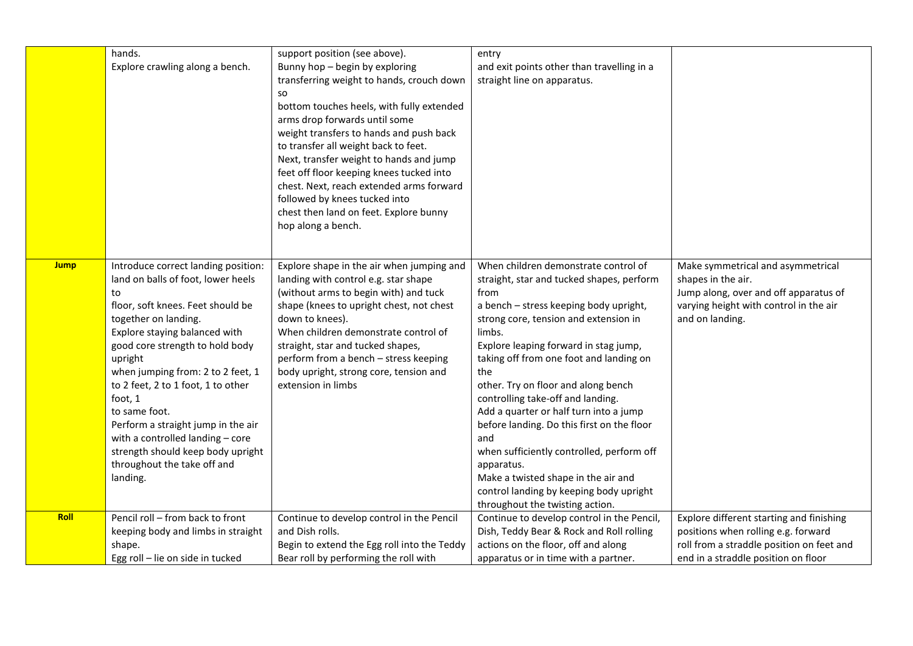|             | hands.<br>Explore crawling along a bench.                                                                                                                                                                                                                                                                                                                                                                                                                                                    | support position (see above).<br>Bunny hop - begin by exploring<br>transferring weight to hands, crouch down<br><b>SO</b><br>bottom touches heels, with fully extended<br>arms drop forwards until some<br>weight transfers to hands and push back<br>to transfer all weight back to feet.<br>Next, transfer weight to hands and jump<br>feet off floor keeping knees tucked into<br>chest. Next, reach extended arms forward<br>followed by knees tucked into<br>chest then land on feet. Explore bunny<br>hop along a bench. | entry<br>and exit points other than travelling in a<br>straight line on apparatus.                                                                                                                                                                                                                                                                                                                                                                                                                                                                                                                                                           |                                                                                                                                                                     |
|-------------|----------------------------------------------------------------------------------------------------------------------------------------------------------------------------------------------------------------------------------------------------------------------------------------------------------------------------------------------------------------------------------------------------------------------------------------------------------------------------------------------|--------------------------------------------------------------------------------------------------------------------------------------------------------------------------------------------------------------------------------------------------------------------------------------------------------------------------------------------------------------------------------------------------------------------------------------------------------------------------------------------------------------------------------|----------------------------------------------------------------------------------------------------------------------------------------------------------------------------------------------------------------------------------------------------------------------------------------------------------------------------------------------------------------------------------------------------------------------------------------------------------------------------------------------------------------------------------------------------------------------------------------------------------------------------------------------|---------------------------------------------------------------------------------------------------------------------------------------------------------------------|
| <b>Jump</b> | Introduce correct landing position:<br>land on balls of foot, lower heels<br>to<br>floor, soft knees. Feet should be<br>together on landing.<br>Explore staying balanced with<br>good core strength to hold body<br>upright<br>when jumping from: 2 to 2 feet, 1<br>to 2 feet, 2 to 1 foot, 1 to other<br>foot, 1<br>to same foot.<br>Perform a straight jump in the air<br>with a controlled landing - core<br>strength should keep body upright<br>throughout the take off and<br>landing. | Explore shape in the air when jumping and<br>landing with control e.g. star shape<br>(without arms to begin with) and tuck<br>shape (knees to upright chest, not chest<br>down to knees).<br>When children demonstrate control of<br>straight, star and tucked shapes,<br>perform from a bench - stress keeping<br>body upright, strong core, tension and<br>extension in limbs                                                                                                                                                | When children demonstrate control of<br>straight, star and tucked shapes, perform<br>from<br>a bench - stress keeping body upright,<br>strong core, tension and extension in<br>limbs.<br>Explore leaping forward in stag jump,<br>taking off from one foot and landing on<br>the<br>other. Try on floor and along bench<br>controlling take-off and landing.<br>Add a quarter or half turn into a jump<br>before landing. Do this first on the floor<br>and<br>when sufficiently controlled, perform off<br>apparatus.<br>Make a twisted shape in the air and<br>control landing by keeping body upright<br>throughout the twisting action. | Make symmetrical and asymmetrical<br>shapes in the air.<br>Jump along, over and off apparatus of<br>varying height with control in the air<br>and on landing.       |
| <b>Roll</b> | Pencil roll - from back to front<br>keeping body and limbs in straight<br>shape.<br>Egg roll - lie on side in tucked                                                                                                                                                                                                                                                                                                                                                                         | Continue to develop control in the Pencil<br>and Dish rolls.<br>Begin to extend the Egg roll into the Teddy<br>Bear roll by performing the roll with                                                                                                                                                                                                                                                                                                                                                                           | Continue to develop control in the Pencil,<br>Dish, Teddy Bear & Rock and Roll rolling<br>actions on the floor, off and along<br>apparatus or in time with a partner.                                                                                                                                                                                                                                                                                                                                                                                                                                                                        | Explore different starting and finishing<br>positions when rolling e.g. forward<br>roll from a straddle position on feet and<br>end in a straddle position on floor |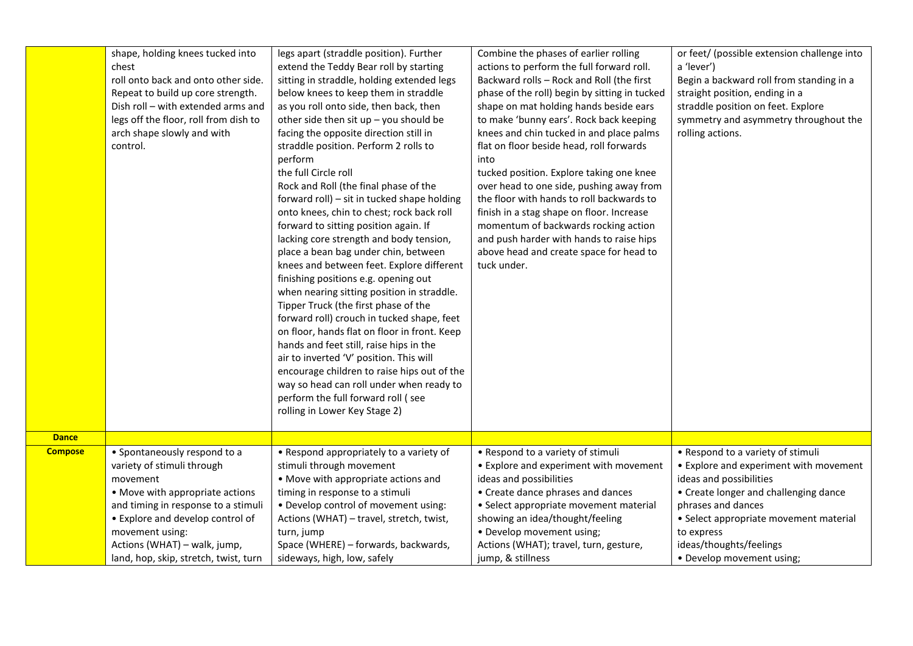|                | shape, holding knees tucked into      | legs apart (straddle position). Further      | Combine the phases of earlier rolling         | or feet/ (possible extension challenge into |
|----------------|---------------------------------------|----------------------------------------------|-----------------------------------------------|---------------------------------------------|
|                | chest                                 | extend the Teddy Bear roll by starting       | actions to perform the full forward roll.     | a 'lever')                                  |
|                | roll onto back and onto other side.   | sitting in straddle, holding extended legs   | Backward rolls - Rock and Roll (the first     | Begin a backward roll from standing in a    |
|                | Repeat to build up core strength.     | below knees to keep them in straddle         | phase of the roll) begin by sitting in tucked | straight position, ending in a              |
|                | Dish roll - with extended arms and    | as you roll onto side, then back, then       | shape on mat holding hands beside ears        | straddle position on feet. Explore          |
|                | legs off the floor, roll from dish to | other side then sit $up$ – you should be     | to make 'bunny ears'. Rock back keeping       | symmetry and asymmetry throughout the       |
|                | arch shape slowly and with            | facing the opposite direction still in       | knees and chin tucked in and place palms      | rolling actions.                            |
|                | control.                              | straddle position. Perform 2 rolls to        | flat on floor beside head, roll forwards      |                                             |
|                |                                       | perform                                      | into                                          |                                             |
|                |                                       | the full Circle roll                         | tucked position. Explore taking one knee      |                                             |
|                |                                       | Rock and Roll (the final phase of the        | over head to one side, pushing away from      |                                             |
|                |                                       | forward roll) - sit in tucked shape holding  | the floor with hands to roll backwards to     |                                             |
|                |                                       | onto knees, chin to chest; rock back roll    | finish in a stag shape on floor. Increase     |                                             |
|                |                                       | forward to sitting position again. If        | momentum of backwards rocking action          |                                             |
|                |                                       | lacking core strength and body tension,      | and push harder with hands to raise hips      |                                             |
|                |                                       | place a bean bag under chin, between         | above head and create space for head to       |                                             |
|                |                                       | knees and between feet. Explore different    | tuck under.                                   |                                             |
|                |                                       | finishing positions e.g. opening out         |                                               |                                             |
|                |                                       | when nearing sitting position in straddle.   |                                               |                                             |
|                |                                       | Tipper Truck (the first phase of the         |                                               |                                             |
|                |                                       | forward roll) crouch in tucked shape, feet   |                                               |                                             |
|                |                                       | on floor, hands flat on floor in front. Keep |                                               |                                             |
|                |                                       | hands and feet still, raise hips in the      |                                               |                                             |
|                |                                       | air to inverted 'V' position. This will      |                                               |                                             |
|                |                                       | encourage children to raise hips out of the  |                                               |                                             |
|                |                                       | way so head can roll under when ready to     |                                               |                                             |
|                |                                       | perform the full forward roll (see           |                                               |                                             |
|                |                                       | rolling in Lower Key Stage 2)                |                                               |                                             |
|                |                                       |                                              |                                               |                                             |
| <b>Dance</b>   |                                       |                                              |                                               |                                             |
| <b>Compose</b> | • Spontaneously respond to a          | • Respond appropriately to a variety of      | • Respond to a variety of stimuli             | • Respond to a variety of stimuli           |
|                | variety of stimuli through            | stimuli through movement                     | • Explore and experiment with movement        | • Explore and experiment with movement      |
|                | movement                              | • Move with appropriate actions and          | ideas and possibilities                       | ideas and possibilities                     |
|                | • Move with appropriate actions       | timing in response to a stimuli              | • Create dance phrases and dances             | • Create longer and challenging dance       |
|                | and timing in response to a stimuli   | • Develop control of movement using:         | • Select appropriate movement material        | phrases and dances                          |
|                | • Explore and develop control of      | Actions (WHAT) - travel, stretch, twist,     | showing an idea/thought/feeling               | • Select appropriate movement material      |
|                | movement using:                       | turn, jump                                   | • Develop movement using;                     | to express                                  |
|                | Actions (WHAT) - walk, jump,          | Space (WHERE) - forwards, backwards,         | Actions (WHAT); travel, turn, gesture,        | ideas/thoughts/feelings                     |
|                | land, hop, skip, stretch, twist, turn | sideways, high, low, safely                  | jump, & stillness                             | • Develop movement using;                   |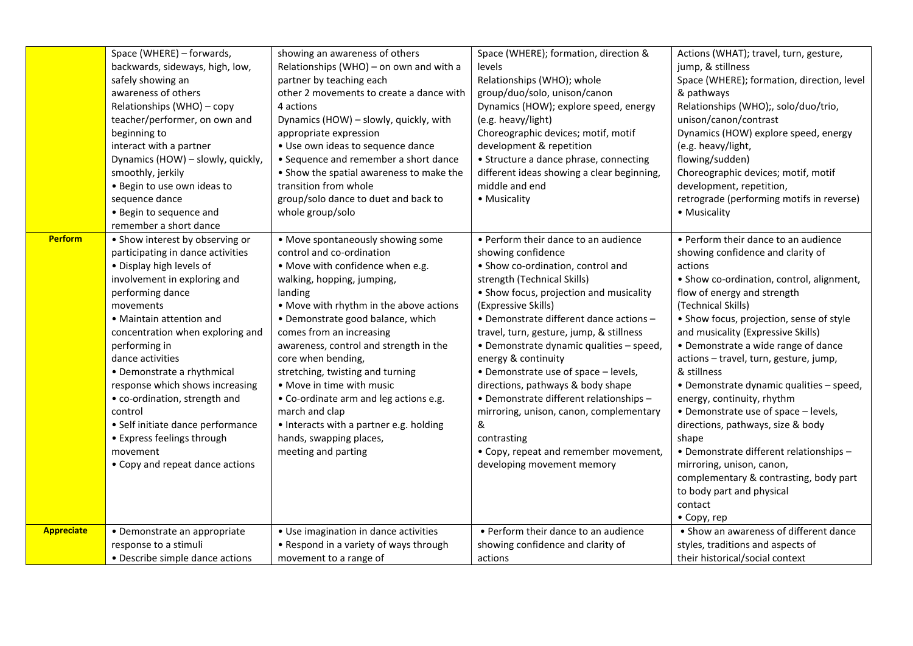|                | Space (WHERE) - forwards,<br>backwards, sideways, high, low,<br>safely showing an<br>awareness of others<br>Relationships (WHO) - copy<br>teacher/performer, on own and<br>beginning to<br>interact with a partner<br>Dynamics (HOW) - slowly, quickly,<br>smoothly, jerkily<br>. Begin to use own ideas to<br>sequence dance<br>• Begin to sequence and<br>remember a short dance                                                                                                                    | showing an awareness of others<br>Relationships (WHO) - on own and with a<br>partner by teaching each<br>other 2 movements to create a dance with<br>4 actions<br>Dynamics (HOW) - slowly, quickly, with<br>appropriate expression<br>• Use own ideas to sequence dance<br>• Sequence and remember a short dance<br>• Show the spatial awareness to make the<br>transition from whole<br>group/solo dance to duet and back to<br>whole group/solo                                                                                                 | Space (WHERE); formation, direction &<br>levels<br>Relationships (WHO); whole<br>group/duo/solo, unison/canon<br>Dynamics (HOW); explore speed, energy<br>(e.g. heavy/light)<br>Choreographic devices; motif, motif<br>development & repetition<br>• Structure a dance phrase, connecting<br>different ideas showing a clear beginning,<br>middle and end<br>• Musicality                                                                                                                                                                                                                                                | Actions (WHAT); travel, turn, gesture,<br>jump, & stillness<br>Space (WHERE); formation, direction, level<br>& pathways<br>Relationships (WHO);, solo/duo/trio,<br>unison/canon/contrast<br>Dynamics (HOW) explore speed, energy<br>(e.g. heavy/light,<br>flowing/sudden)<br>Choreographic devices; motif, motif<br>development, repetition,<br>retrograde (performing motifs in reverse)<br>• Musicality                                                                                                                                                                                                                                                                                                         |
|----------------|-------------------------------------------------------------------------------------------------------------------------------------------------------------------------------------------------------------------------------------------------------------------------------------------------------------------------------------------------------------------------------------------------------------------------------------------------------------------------------------------------------|---------------------------------------------------------------------------------------------------------------------------------------------------------------------------------------------------------------------------------------------------------------------------------------------------------------------------------------------------------------------------------------------------------------------------------------------------------------------------------------------------------------------------------------------------|--------------------------------------------------------------------------------------------------------------------------------------------------------------------------------------------------------------------------------------------------------------------------------------------------------------------------------------------------------------------------------------------------------------------------------------------------------------------------------------------------------------------------------------------------------------------------------------------------------------------------|-------------------------------------------------------------------------------------------------------------------------------------------------------------------------------------------------------------------------------------------------------------------------------------------------------------------------------------------------------------------------------------------------------------------------------------------------------------------------------------------------------------------------------------------------------------------------------------------------------------------------------------------------------------------------------------------------------------------|
| <b>Perform</b> | • Show interest by observing or<br>participating in dance activities<br>. Display high levels of<br>involvement in exploring and<br>performing dance<br>movements<br>• Maintain attention and<br>concentration when exploring and<br>performing in<br>dance activities<br>• Demonstrate a rhythmical<br>response which shows increasing<br>• co-ordination, strength and<br>control<br>· Self initiate dance performance<br>• Express feelings through<br>movement<br>• Copy and repeat dance actions | • Move spontaneously showing some<br>control and co-ordination<br>. Move with confidence when e.g.<br>walking, hopping, jumping,<br>landing<br>• Move with rhythm in the above actions<br>• Demonstrate good balance, which<br>comes from an increasing<br>awareness, control and strength in the<br>core when bending,<br>stretching, twisting and turning<br>• Move in time with music<br>• Co-ordinate arm and leg actions e.g.<br>march and clap<br>• Interacts with a partner e.g. holding<br>hands, swapping places,<br>meeting and parting | • Perform their dance to an audience<br>showing confidence<br>• Show co-ordination, control and<br>strength (Technical Skills)<br>• Show focus, projection and musicality<br>(Expressive Skills)<br>• Demonstrate different dance actions -<br>travel, turn, gesture, jump, & stillness<br>· Demonstrate dynamic qualities - speed,<br>energy & continuity<br>• Demonstrate use of space - levels,<br>directions, pathways & body shape<br>· Demonstrate different relationships -<br>mirroring, unison, canon, complementary<br>&<br>contrasting<br>• Copy, repeat and remember movement,<br>developing movement memory | • Perform their dance to an audience<br>showing confidence and clarity of<br>actions<br>• Show co-ordination, control, alignment,<br>flow of energy and strength<br>(Technical Skills)<br>• Show focus, projection, sense of style<br>and musicality (Expressive Skills)<br>• Demonstrate a wide range of dance<br>actions - travel, turn, gesture, jump,<br>& stillness<br>• Demonstrate dynamic qualities - speed,<br>energy, continuity, rhythm<br>• Demonstrate use of space - levels,<br>directions, pathways, size & body<br>shape<br>• Demonstrate different relationships -<br>mirroring, unison, canon,<br>complementary & contrasting, body part<br>to body part and physical<br>contact<br>• Copy, rep |
| Appreciate     | • Demonstrate an appropriate<br>response to a stimuli                                                                                                                                                                                                                                                                                                                                                                                                                                                 | • Use imagination in dance activities<br>• Respond in a variety of ways through                                                                                                                                                                                                                                                                                                                                                                                                                                                                   | • Perform their dance to an audience<br>showing confidence and clarity of                                                                                                                                                                                                                                                                                                                                                                                                                                                                                                                                                | • Show an awareness of different dance<br>styles, traditions and aspects of                                                                                                                                                                                                                                                                                                                                                                                                                                                                                                                                                                                                                                       |
|                | • Describe simple dance actions                                                                                                                                                                                                                                                                                                                                                                                                                                                                       | movement to a range of                                                                                                                                                                                                                                                                                                                                                                                                                                                                                                                            | actions                                                                                                                                                                                                                                                                                                                                                                                                                                                                                                                                                                                                                  | their historical/social context                                                                                                                                                                                                                                                                                                                                                                                                                                                                                                                                                                                                                                                                                   |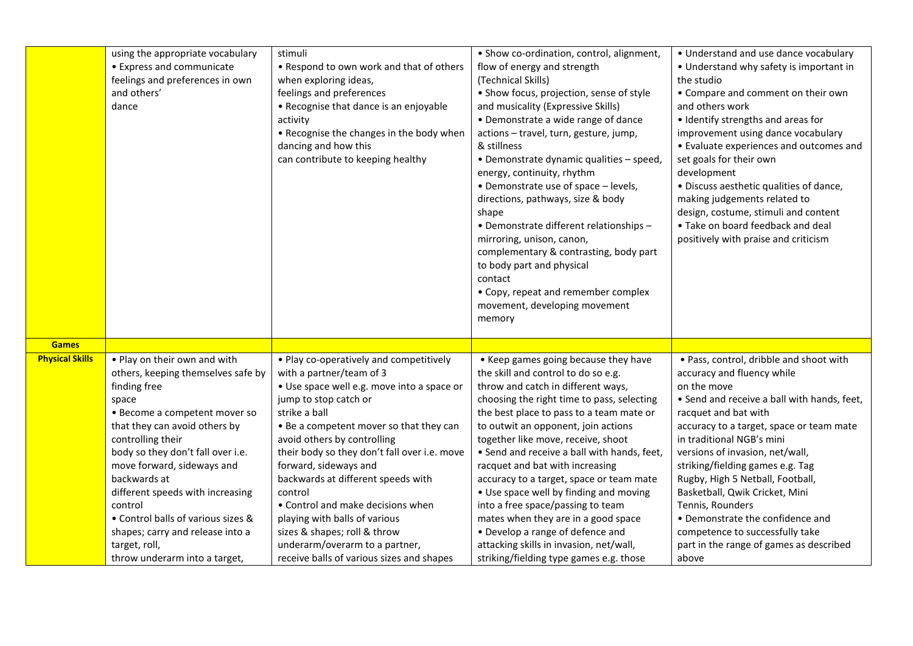|                        | using the appropriate vocabulary<br>• Express and communicate<br>feelings and preferences in own<br>and others'<br>dance                                                                                                                                                                                                                                                                                                                         | stimuli<br>• Respond to own work and that of others<br>when exploring ideas,<br>feelings and preferences<br>• Recognise that dance is an enjoyable<br>activity<br>• Recognise the changes in the body when<br>dancing and how this<br>can contribute to keeping healthy                                                                                                                                                                                                                                                                              | • Show co-ordination, control, alignment,<br>flow of energy and strength<br>(Technical Skills)<br>• Show focus, projection, sense of style<br>and musicality (Expressive Skills)<br>• Demonstrate a wide range of dance<br>actions - travel, turn, gesture, jump,<br>& stillness<br>• Demonstrate dynamic qualities - speed,<br>energy, continuity, rhythm<br>• Demonstrate use of space - levels,<br>directions, pathways, size & body<br>shape                                                                                                                                                                                                                       | • Understand and use dance vocabulary<br>• Understand why safety is important in<br>the studio<br>• Compare and comment on their own<br>and others work<br>• Identify strengths and areas for<br>improvement using dance vocabulary<br>• Evaluate experiences and outcomes and<br>set goals for their own<br>development<br>· Discuss aesthetic qualities of dance,<br>making judgements related to<br>design, costume, stimuli and content                                                                                      |
|------------------------|--------------------------------------------------------------------------------------------------------------------------------------------------------------------------------------------------------------------------------------------------------------------------------------------------------------------------------------------------------------------------------------------------------------------------------------------------|------------------------------------------------------------------------------------------------------------------------------------------------------------------------------------------------------------------------------------------------------------------------------------------------------------------------------------------------------------------------------------------------------------------------------------------------------------------------------------------------------------------------------------------------------|------------------------------------------------------------------------------------------------------------------------------------------------------------------------------------------------------------------------------------------------------------------------------------------------------------------------------------------------------------------------------------------------------------------------------------------------------------------------------------------------------------------------------------------------------------------------------------------------------------------------------------------------------------------------|----------------------------------------------------------------------------------------------------------------------------------------------------------------------------------------------------------------------------------------------------------------------------------------------------------------------------------------------------------------------------------------------------------------------------------------------------------------------------------------------------------------------------------|
|                        |                                                                                                                                                                                                                                                                                                                                                                                                                                                  |                                                                                                                                                                                                                                                                                                                                                                                                                                                                                                                                                      | • Demonstrate different relationships -<br>mirroring, unison, canon,<br>complementary & contrasting, body part<br>to body part and physical<br>contact<br>• Copy, repeat and remember complex<br>movement, developing movement<br>memory                                                                                                                                                                                                                                                                                                                                                                                                                               | • Take on board feedback and deal<br>positively with praise and criticism                                                                                                                                                                                                                                                                                                                                                                                                                                                        |
| <b>Games</b>           |                                                                                                                                                                                                                                                                                                                                                                                                                                                  |                                                                                                                                                                                                                                                                                                                                                                                                                                                                                                                                                      |                                                                                                                                                                                                                                                                                                                                                                                                                                                                                                                                                                                                                                                                        |                                                                                                                                                                                                                                                                                                                                                                                                                                                                                                                                  |
| <b>Physical Skills</b> | . Play on their own and with<br>others, keeping themselves safe by<br>finding free<br>space<br>• Become a competent mover so<br>that they can avoid others by<br>controlling their<br>body so they don't fall over i.e.<br>move forward, sideways and<br>backwards at<br>different speeds with increasing<br>control<br>• Control balls of various sizes &<br>shapes; carry and release into a<br>target, roll,<br>throw underarm into a target, | • Play co-operatively and competitively<br>with a partner/team of 3<br>· Use space well e.g. move into a space or<br>jump to stop catch or<br>strike a ball<br>• Be a competent mover so that they can<br>avoid others by controlling<br>their body so they don't fall over i.e. move<br>forward, sideways and<br>backwards at different speeds with<br>control<br>• Control and make decisions when<br>playing with balls of various<br>sizes & shapes; roll & throw<br>underarm/overarm to a partner,<br>receive balls of various sizes and shapes | • Keep games going because they have<br>the skill and control to do so e.g.<br>throw and catch in different ways,<br>choosing the right time to pass, selecting<br>the best place to pass to a team mate or<br>to outwit an opponent, join actions<br>together like move, receive, shoot<br>• Send and receive a ball with hands, feet,<br>racquet and bat with increasing<br>accuracy to a target, space or team mate<br>• Use space well by finding and moving<br>into a free space/passing to team<br>mates when they are in a good space<br>• Develop a range of defence and<br>attacking skills in invasion, net/wall,<br>striking/fielding type games e.g. those | . Pass, control, dribble and shoot with<br>accuracy and fluency while<br>on the move<br>• Send and receive a ball with hands, feet,<br>racquet and bat with<br>accuracy to a target, space or team mate<br>in traditional NGB's mini<br>versions of invasion, net/wall,<br>striking/fielding games e.g. Tag<br>Rugby, High 5 Netball, Football,<br>Basketball, Qwik Cricket, Mini<br>Tennis, Rounders<br>• Demonstrate the confidence and<br>competence to successfully take<br>part in the range of games as described<br>above |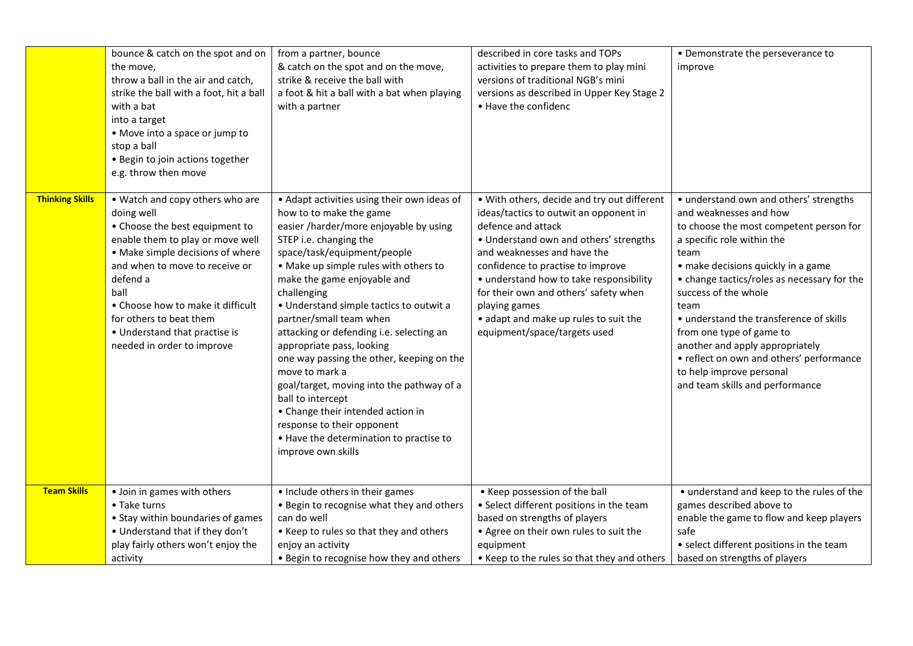|                        | bounce & catch on the spot and on<br>the move,<br>throw a ball in the air and catch,<br>strike the ball with a foot, hit a ball<br>with a bat<br>into a target<br>• Move into a space or jump to<br>stop a ball<br>• Begin to join actions together<br>e.g. throw then move                                                                  | from a partner, bounce<br>& catch on the spot and on the move,<br>strike & receive the ball with<br>a foot & hit a ball with a bat when playing<br>with a partner                                                                                                                                                                                                                                                                                                                                                                                                                                                                                                                    | described in core tasks and TOPs<br>activities to prepare them to play mini<br>versions of traditional NGB's mini<br>versions as described in Upper Key Stage 2<br>• Have the confidenc                                                                                                                                                                                                                 | • Demonstrate the perseverance to<br>improve                                                                                                                                                                                                                                                                                                                                                                                                                                                |
|------------------------|----------------------------------------------------------------------------------------------------------------------------------------------------------------------------------------------------------------------------------------------------------------------------------------------------------------------------------------------|--------------------------------------------------------------------------------------------------------------------------------------------------------------------------------------------------------------------------------------------------------------------------------------------------------------------------------------------------------------------------------------------------------------------------------------------------------------------------------------------------------------------------------------------------------------------------------------------------------------------------------------------------------------------------------------|---------------------------------------------------------------------------------------------------------------------------------------------------------------------------------------------------------------------------------------------------------------------------------------------------------------------------------------------------------------------------------------------------------|---------------------------------------------------------------------------------------------------------------------------------------------------------------------------------------------------------------------------------------------------------------------------------------------------------------------------------------------------------------------------------------------------------------------------------------------------------------------------------------------|
| <b>Thinking Skills</b> | • Watch and copy others who are<br>doing well<br>• Choose the best equipment to<br>enable them to play or move well<br>• Make simple decisions of where<br>and when to move to receive or<br>defend a<br>ball<br>• Choose how to make it difficult<br>for others to beat them<br>• Understand that practise is<br>needed in order to improve | • Adapt activities using their own ideas of<br>how to to make the game<br>easier /harder/more enjoyable by using<br>STEP i.e. changing the<br>space/task/equipment/people<br>• Make up simple rules with others to<br>make the game enjoyable and<br>challenging<br>• Understand simple tactics to outwit a<br>partner/small team when<br>attacking or defending i.e. selecting an<br>appropriate pass, looking<br>one way passing the other, keeping on the<br>move to mark a<br>goal/target, moving into the pathway of a<br>ball to intercept<br>• Change their intended action in<br>response to their opponent<br>• Have the determination to practise to<br>improve own skills | . With others, decide and try out different<br>ideas/tactics to outwit an opponent in<br>defence and attack<br>• Understand own and others' strengths<br>and weaknesses and have the<br>confidence to practise to improve<br>• understand how to take responsibility<br>for their own and others' safety when<br>playing games<br>• adapt and make up rules to suit the<br>equipment/space/targets used | • understand own and others' strengths<br>and weaknesses and how<br>to choose the most competent person for<br>a specific role within the<br>team<br>• make decisions quickly in a game<br>• change tactics/roles as necessary for the<br>success of the whole<br>team<br>• understand the transference of skills<br>from one type of game to<br>another and apply appropriately<br>• reflect on own and others' performance<br>to help improve personal<br>and team skills and performance |
| <b>Team Skills</b>     | • Join in games with others<br>• Take turns<br>• Stay within boundaries of games<br>• Understand that if they don't<br>play fairly others won't enjoy the<br>activity                                                                                                                                                                        | • Include others in their games<br>• Begin to recognise what they and others<br>can do well<br>• Keep to rules so that they and others<br>enjoy an activity<br>• Begin to recognise how they and others                                                                                                                                                                                                                                                                                                                                                                                                                                                                              | • Keep possession of the ball<br>• Select different positions in the team<br>based on strengths of players<br>. Agree on their own rules to suit the<br>equipment<br>• Keep to the rules so that they and others                                                                                                                                                                                        | • understand and keep to the rules of the<br>games described above to<br>enable the game to flow and keep players<br>safe<br>• select different positions in the team<br>based on strengths of players                                                                                                                                                                                                                                                                                      |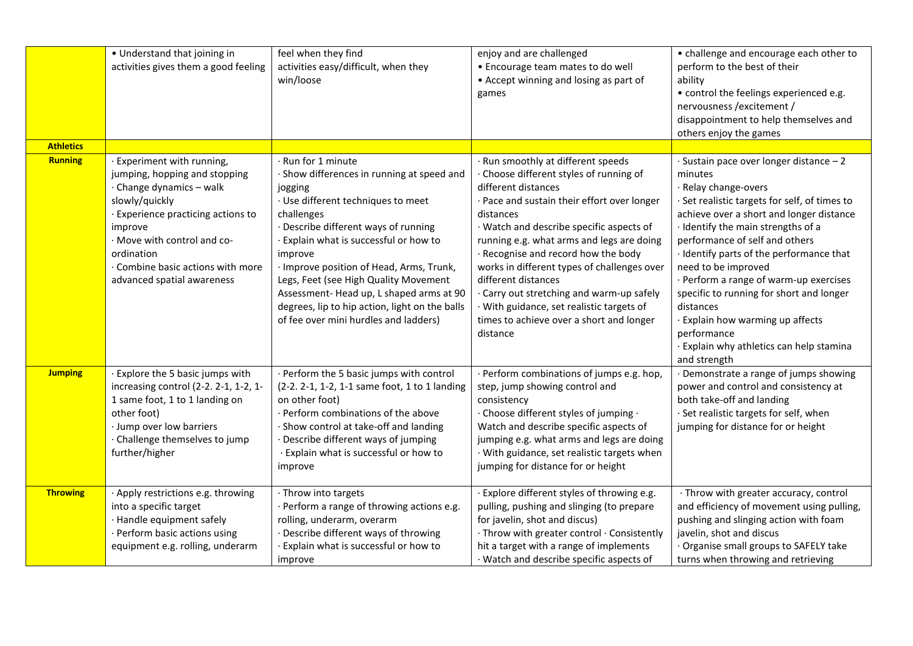|                  | • Understand that joining in<br>activities gives them a good feeling                                                                                                                                                                                                       | feel when they find<br>activities easy/difficult, when they<br>win/loose                                                                                                                                                                                                                                                                                                                                                                        | enjoy and are challenged<br>• Encourage team mates to do well<br>• Accept winning and losing as part of<br>games                                                                                                                                                                                                                                                                                                                                                                                                     | • challenge and encourage each other to<br>perform to the best of their<br>ability<br>• control the feelings experienced e.g.<br>nervousness / excitement /<br>disappointment to help themselves and<br>others enjoy the games                                                                                                                                                                                                                                                                                                       |
|------------------|----------------------------------------------------------------------------------------------------------------------------------------------------------------------------------------------------------------------------------------------------------------------------|-------------------------------------------------------------------------------------------------------------------------------------------------------------------------------------------------------------------------------------------------------------------------------------------------------------------------------------------------------------------------------------------------------------------------------------------------|----------------------------------------------------------------------------------------------------------------------------------------------------------------------------------------------------------------------------------------------------------------------------------------------------------------------------------------------------------------------------------------------------------------------------------------------------------------------------------------------------------------------|--------------------------------------------------------------------------------------------------------------------------------------------------------------------------------------------------------------------------------------------------------------------------------------------------------------------------------------------------------------------------------------------------------------------------------------------------------------------------------------------------------------------------------------|
| <b>Athletics</b> |                                                                                                                                                                                                                                                                            |                                                                                                                                                                                                                                                                                                                                                                                                                                                 |                                                                                                                                                                                                                                                                                                                                                                                                                                                                                                                      |                                                                                                                                                                                                                                                                                                                                                                                                                                                                                                                                      |
| <b>Running</b>   | · Experiment with running,<br>jumping, hopping and stopping<br>· Change dynamics - walk<br>slowly/quickly<br>· Experience practicing actions to<br>improve<br>· Move with control and co-<br>ordination<br>· Combine basic actions with more<br>advanced spatial awareness | Run for 1 minute<br>Show differences in running at speed and<br>jogging<br>· Use different techniques to meet<br>challenges<br>Describe different ways of running<br>Explain what is successful or how to<br>improve<br>· Improve position of Head, Arms, Trunk,<br>Legs, Feet (see High Quality Movement<br>Assessment-Head up, L shaped arms at 90<br>degrees, lip to hip action, light on the balls<br>of fee over mini hurdles and ladders) | Run smoothly at different speeds<br>Choose different styles of running of<br>different distances<br>· Pace and sustain their effort over longer<br>distances<br>· Watch and describe specific aspects of<br>running e.g. what arms and legs are doing<br>· Recognise and record how the body<br>works in different types of challenges over<br>different distances<br>· Carry out stretching and warm-up safely<br>· With guidance, set realistic targets of<br>times to achieve over a short and longer<br>distance | · Sustain pace over longer distance - 2<br>minutes<br>· Relay change-overs<br>· Set realistic targets for self, of times to<br>achieve over a short and longer distance<br>· Identify the main strengths of a<br>performance of self and others<br>· Identify parts of the performance that<br>need to be improved<br>· Perform a range of warm-up exercises<br>specific to running for short and longer<br>distances<br>· Explain how warming up affects<br>performance<br>· Explain why athletics can help stamina<br>and strength |
| <b>Jumping</b>   | · Explore the 5 basic jumps with<br>increasing control (2-2. 2-1, 1-2, 1-<br>1 same foot, 1 to 1 landing on<br>other foot)<br>· Jump over low barriers<br>· Challenge themselves to jump<br>further/higher                                                                 | Perform the 5 basic jumps with control<br>(2-2. 2-1, 1-2, 1-1 same foot, 1 to 1 landing<br>on other foot)<br>Perform combinations of the above<br>Show control at take-off and landing<br>Describe different ways of jumping<br>· Explain what is successful or how to<br>improve                                                                                                                                                               | Perform combinations of jumps e.g. hop,<br>step, jump showing control and<br>consistency<br>· Choose different styles of jumping ·<br>Watch and describe specific aspects of<br>jumping e.g. what arms and legs are doing<br>· With guidance, set realistic targets when<br>jumping for distance for or height                                                                                                                                                                                                       | Demonstrate a range of jumps showing<br>power and control and consistency at<br>both take-off and landing<br>· Set realistic targets for self, when<br>jumping for distance for or height                                                                                                                                                                                                                                                                                                                                            |
| <b>Throwing</b>  | · Apply restrictions e.g. throwing<br>into a specific target<br>· Handle equipment safely<br>· Perform basic actions using<br>equipment e.g. rolling, underarm                                                                                                             | · Throw into targets<br>Perform a range of throwing actions e.g.<br>rolling, underarm, overarm<br>Describe different ways of throwing<br>Explain what is successful or how to<br>improve                                                                                                                                                                                                                                                        | Explore different styles of throwing e.g.<br>pulling, pushing and slinging (to prepare<br>for javelin, shot and discus)<br>· Throw with greater control · Consistently<br>hit a target with a range of implements<br>· Watch and describe specific aspects of                                                                                                                                                                                                                                                        | · Throw with greater accuracy, control<br>and efficiency of movement using pulling,<br>pushing and slinging action with foam<br>javelin, shot and discus<br>Organise small groups to SAFELY take<br>turns when throwing and retrieving                                                                                                                                                                                                                                                                                               |